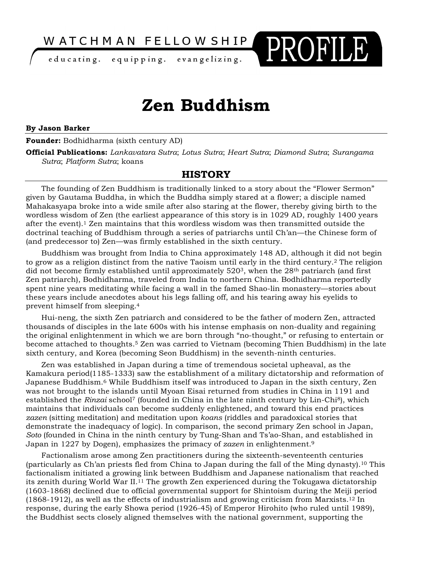educating. equipping. evangelizing.

### **Zen Buddhism**

PROFILE

### **By Jason Barker**

**Founder:** Bodhidharma (sixth century AD)

**Official Publications:** *Lankavatara Sutra*; *Lotus Sutra*; *Heart Sutra*; *Diamond Sutra*; *Surangama Sutra*; *Platform Sutra*; koans

### **HISTORY**

The founding of Zen Buddhism is traditionally linked to a story about the "Flower Sermon" given by Gautama Buddha, in which the Buddha simply stared at a flower; a disciple named Mahakasyapa broke into a wide smile after also staring at the flower, thereby giving birth to the wordless wisdom of Zen (the earliest appearance of this story is in 1029 AD, roughly 1400 years after the event).1 Zen maintains that this wordless wisdom was then transmitted outside the doctrinal teaching of Buddhism through a series of patriarchs until Ch'an—the Chinese form of (and predecessor to) Zen—was firmly established in the sixth century.

Buddhism was brought from India to China approximately 148 AD, although it did not begin to grow as a religion distinct from the native Taoism until early in the third century.2 The religion did not become firmly established until approximately 5203, when the 28<sup>th</sup> patriarch (and first Zen patriarch), Bodhidharma, traveled from India to northern China. Bodhidharma reportedly spent nine years meditating while facing a wall in the famed Shao-lin monastery—stories about these years include anecdotes about his legs falling off, and his tearing away his eyelids to prevent himself from sleeping.4

Hui-neng, the sixth Zen patriarch and considered to be the father of modern Zen, attracted thousands of disciples in the late 600s with his intense emphasis on non-duality and regaining the original enlightenment in which we are born through "no-thought," or refusing to entertain or become attached to thoughts.5 Zen was carried to Vietnam (becoming Thien Buddhism) in the late sixth century, and Korea (becoming Seon Buddhism) in the seventh-ninth centuries.

Zen was established in Japan during a time of tremendous societal upheaval, as the Kamakura period(1185-1333) saw the establishment of a military dictatorship and reformation of Japanese Buddhism.6 While Buddhism itself was introduced to Japan in the sixth century, Zen was not brought to the islands until Myoan Eisai returned from studies in China in 1191 and established the *Rinzai* school7 (founded in China in the late ninth century by Lin-Chi8), which maintains that individuals can become suddenly enlightened, and toward this end practices *zazen* (sitting meditation) and meditation upon *koans* (riddles and paradoxical stories that demonstrate the inadequacy of logic). In comparison, the second primary Zen school in Japan, *Soto* (founded in China in the ninth century by Tung-Shan and Ts'ao-Shan, and established in Japan in 1227 by Dogen), emphasizes the primacy of *zazen* in enlightenment.9

Factionalism arose among Zen practitioners during the sixteenth-seventeenth centuries (particularly as Ch'an priests fled from China to Japan during the fall of the Ming dynasty).10 This factionalism initiated a growing link between Buddhism and Japanese nationalism that reached its zenith during World War II.<sup>11</sup> The growth Zen experienced during the Tokugawa dictatorship (1603-1868) declined due to official governmental support for Shintoism during the Meiji period  $(1868-1912)$ , as well as the effects of industrialism and growing criticism from Marxists.<sup>12</sup> In response, during the early Showa period (1926-45) of Emperor Hirohito (who ruled until 1989), the Buddhist sects closely aligned themselves with the national government, supporting the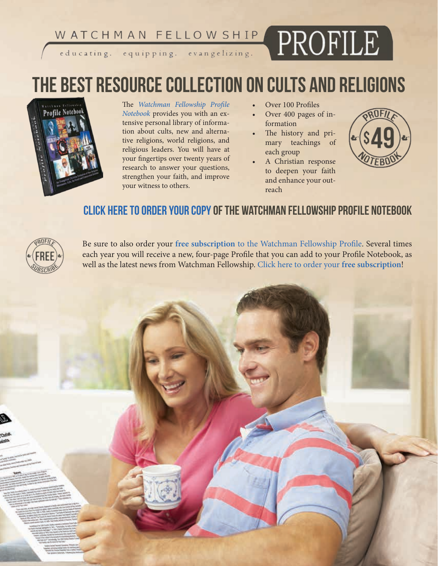# WATCHMAN FELLOWSHIP PROFILE

educating. equipping. evangelizing.

## THE BEST RESOURCE COLLECTION ON CULTS AND RELIGIONS



The *[Watchman Fellowship Profile](http://www.watchman.org/store/resources-catalog/books12626/watchman-fellowships-profile-notebook/)  [Notebook](http://www.watchman.org/store/resources-catalog/books12626/watchman-fellowships-profile-notebook/)* provides you with an extensive personal library of information about cults, new and alternative religions, world religions, and religious leaders. You will have at your fingertips over twenty years of research to answer your questions, strengthen your faith, and improve your witness to others.

- Over 100 Profiles
- Over 400 pages of information
- The history and primary teachings of each group
- A Christian response to deepen your faith and enhance your outreach



### [Click here to order your copy of the watchman fellowship profile notebook](http://www.watchman.org/store/resources-catalog/books12626/watchman-fellowships-profile-notebook/)



Be sure to also order your **free subscription** [to the Watchman Fellowship Profile.](http://www.watchman.org/free-newsletter/) Several times each year you will receive a new, four-page Profile that you can add to your Profile Notebook, as well as the latest news from Watchman Fellowship. [Click here to order your](http://www.watchman.org/free-newsletter/) **free subscription**!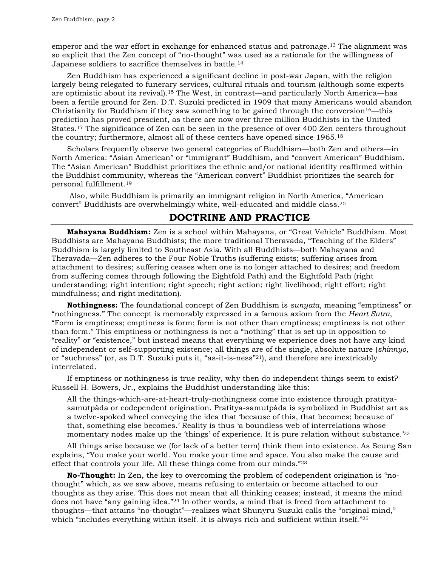emperor and the war effort in exchange for enhanced status and patronage.13 The alignment was so explicit that the Zen concept of "no-thought" was used as a rationale for the willingness of Japanese soldiers to sacrifice themselves in battle.14

Zen Buddhism has experienced a significant decline in post-war Japan, with the religion largely being relegated to funerary services, cultural rituals and tourism (although some experts are optimistic about its revival).15 The West, in contrast—and particularly North America—has been a fertile ground for Zen. D.T. Suzuki predicted in 1909 that many Americans would abandon Christianity for Buddhism if they saw something to be gained through the conversion<sup>16—this</sup> prediction has proved prescient, as there are now over three million Buddhists in the United States.17 The significance of Zen can be seen in the presence of over 400 Zen centers throughout the country; furthermore, almost all of these centers have opened since 1965.18

Scholars frequently observe two general categories of Buddhism—both Zen and others—in North America: "Asian American" or "immigrant" Buddhism, and "convert American" Buddhism. The "Asian American" Buddhist prioritizes the ethnic and/or national identity reaffirmed within the Buddhist community, whereas the "American convert" Buddhist prioritizes the search for personal fulfillment.19

Also, while Buddhism is primarily an immigrant religion in North America, "American convert" Buddhists are overwhelmingly white, well-educated and middle class.20

### **DOCTRINE AND PRACTICE**

**Mahayana Buddhism:** Zen is a school within Mahayana, or "Great Vehicle" Buddhism. Most Buddhists are Mahayana Buddhists; the more traditional Theravada, "Teaching of the Elders" Buddhism is largely limited to Southeast Asia. With all Buddhists—both Mahayana and Theravada—Zen adheres to the Four Noble Truths (suffering exists; suffering arises from attachment to desires; suffering ceases when one is no longer attached to desires; and freedom from suffering comes through following the Eightfold Path) and the Eightfold Path (right understanding; right intention; right speech; right action; right livelihood; right effort; right mindfulness; and right meditation).

**Nothingness:** The foundational concept of Zen Buddhism is *sunyata*, meaning "emptiness" or "nothingness." The concept is memorably expressed in a famous axiom from the *Heart Sutra*, "Form is emptiness; emptiness is form; form is not other than emptiness; emptiness is not other than form." This emptiness or nothingness is not a "nothing" that is set up in opposition to "reality" or "existence," but instead means that everything we experience does not have any kind of independent or self-supporting existence; all things are of the single, absolute nature (*shinnyo*, or "suchness" (or, as D.T. Suzuki puts it, "as-it-is-ness"21), and therefore are inextricably interrelated.

If emptiness or nothingness is true reality, why then do independent things seem to exist? Russell H. Bowers, Jr., explains the Buddhist understanding like this:

All the things-which-are-at-heart-truly-nothingness come into existence through pratìtyasamutpàda or codependent origination. Pratîtya-samutpàda is symbolized in Buddhist art as a twelve-spoked wheel conveying the idea that 'because of this, that becomes; because of that, something else becomes.' Reality is thus 'a boundless web of interrelations whose momentary nodes make up the 'things' of experience. It is pure relation without substance.<sup>22</sup>

All things arise because we (for lack of a better term) think them into existence. As Seung San explains, "You make your world. You make your time and space. You also make the cause and effect that controls your life. All these things come from our minds."23

**No-Thought:** In Zen, the key to overcoming the problem of codependent origination is "nothought" which, as we saw above, means refusing to entertain or become attached to our thoughts as they arise. This does not mean that all thinking ceases; instead, it means the mind does not have "any gaining idea."24 In other words, a mind that is freed from attachment to thoughts—that attains "no-thought"—realizes what Shunyru Suzuki calls the "original mind," which "includes everything within itself. It is always rich and sufficient within itself."25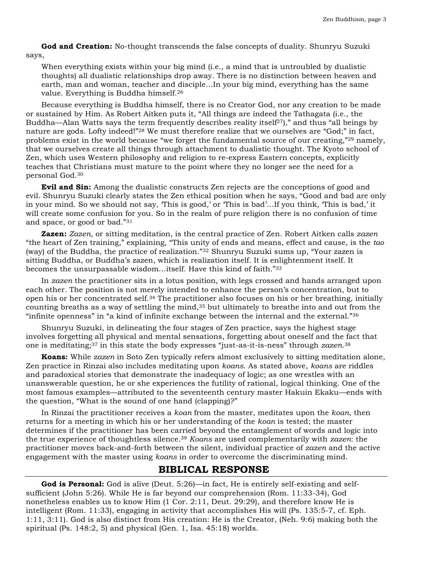**God and Creation:** No-thought transcends the false concepts of duality. Shunryu Suzuki says,

When everything exists within your big mind (i.e., a mind that is untroubled by dualistic thoughts) all dualistic relationships drop away. There is no distinction between heaven and earth, man and woman, teacher and disciple…In your big mind, everything has the same value. Everything is Buddha himself.26

Because everything is Buddha himself, there is no Creator God, nor any creation to be made or sustained by Him. As Robert Aitken puts it, "All things are indeed the Tathagata (i.e., the Buddha—Alan Watts says the term frequently describes reality itself $27$ ," and thus "all beings by nature are gods. Lofty indeed!"28 We must therefore realize that we ourselves are "God;" in fact, problems exist in the world because "we forget the fundamental source of our creating,"29 namely, that we ourselves create all things through attachment to dualistic thought. The Kyoto school of Zen, which uses Western philosophy and religion to re-express Eastern concepts, explicitly teaches that Christians must mature to the point where they no longer see the need for a personal God.30

**Evil and Sin:** Among the dualistic constructs Zen rejects are the conceptions of good and evil. Shunryu Suzuki clearly states the Zen ethical position when he says, "Good and bad are only in your mind. So we should not say, 'This is good,' or 'This is bad'…If you think, 'This is bad,' it will create some confusion for you. So in the realm of pure religion there is no confusion of time and space, or good or bad."31

**Zazen:** *Zazen*, or sitting meditation, is the central practice of Zen. Robert Aitken calls *zazen* "the heart of Zen training," explaining, "This unity of ends and means, effect and cause, is the *tao*  (way) of the Buddha, the practice of realization."32 Shunryu Suzuki sums up, "Your zazen is sitting Buddha, or Buddha's zazen, which is realization itself. It is enlightenment itself. It becomes the unsurpassable wisdom…itself. Have this kind of faith."33

In *zazen* the practitioner sits in a lotus position, with legs crossed and hands arranged upon each other. The position is not merely intended to enhance the person's concentration, but to open his or her concentrated self.34 The practitioner also focuses on his or her breathing, initially counting breaths as a way of settling the mind,  $35$  but ultimately to breathe into and out from the "infinite openness" in "a kind of infinite exchange between the internal and the external."36

Shunryu Suzuki, in delineating the four stages of Zen practice, says the highest stage involves forgetting all physical and mental sensations, forgetting about oneself and the fact that one is meditating;37 in this state the body expresses "just-as-it-is-ness" through *zazen*.38

**Koans:** While *zazen* in Soto Zen typically refers almost exclusively to sitting meditation alone, Zen practice in Rinzai also includes meditating upon *koans*. As stated above, *koans* are riddles and paradoxical stories that demonstrate the inadequacy of logic; as one wrestles with an unanswerable question, he or she experiences the futility of rational, logical thinking. One of the most famous examples—attributed to the seventeenth century master Hakuin Ekaku—ends with the question, "What is the sound of one hand (clapping)?"

In Rinzai the practitioner receives a *koan* from the master, meditates upon the *koan*, then returns for a meeting in which his or her understanding of the *koan* is tested; the master determines if the practitioner has been carried beyond the entanglement of words and logic into the true experience of thoughtless silence.39 *Koans* are used complementarily with *zazen*: the practitioner moves back-and-forth between the silent, individual practice of *zazen* and the active engagement with the master using *koans* in order to overcome the discriminating mind.

### **BIBLICAL RESPONSE**

**God is Personal:** God is alive (Deut. 5:26)—in fact, He is entirely self-existing and selfsufficient (John 5:26). While He is far beyond our comprehension (Rom. 11:33-34), God nonetheless enables us to know Him (1 Cor. 2:11, Deut. 29:29), and therefore know He is intelligent (Rom. 11:33), engaging in activity that accomplishes His will (Ps. 135:5-7, cf. Eph. 1:11, 3:11). God is also distinct from His creation: He is the Creator, (Neh. 9:6) making both the spiritual (Ps. 148:2, 5) and physical (Gen. 1, Isa. 45:18) worlds.